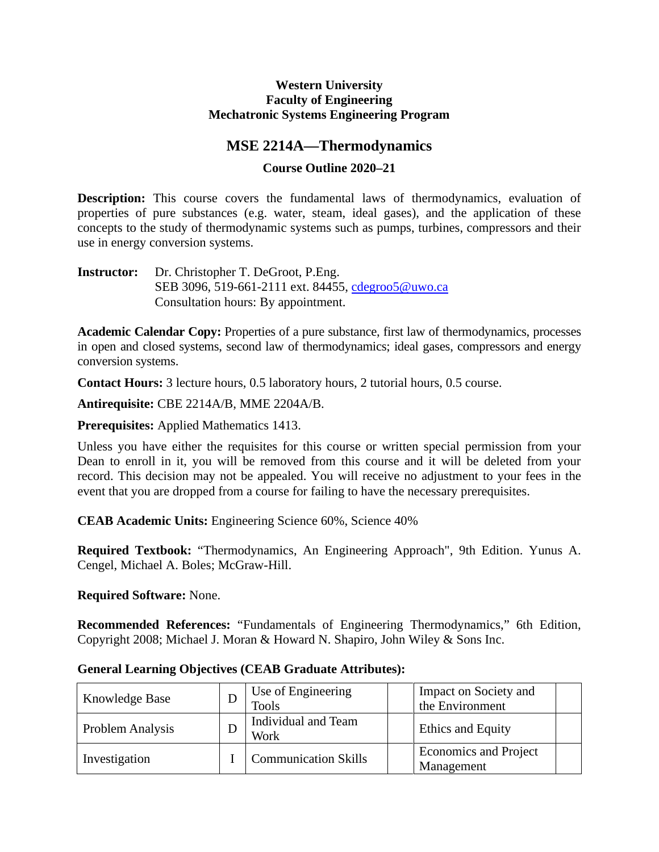### **Western University Faculty of Engineering Mechatronic Systems Engineering Program**

# **MSE 2214A—Thermodynamics**

# **Course Outline 2020–21**

**Description:** This course covers the fundamental laws of thermodynamics, evaluation of properties of pure substances (e.g. water, steam, ideal gases), and the application of these concepts to the study of thermodynamic systems such as pumps, turbines, compressors and their use in energy conversion systems.

**Instructor:** Dr. Christopher T. DeGroot, P.Eng. SEB 3096, 519-661-2111 ext. 84455, [cdegroo5@uwo.ca](mailto:cdegroo5@uwo.ca) Consultation hours: By appointment.

**Academic Calendar Copy:** Properties of a pure substance, first law of thermodynamics, processes in open and closed systems, second law of thermodynamics; ideal gases, compressors and energy conversion systems.

**Contact Hours:** 3 lecture hours, 0.5 laboratory hours, 2 tutorial hours, 0.5 course.

**Antirequisite:** CBE 2214A/B, MME 2204A/B.

**Prerequisites:** Applied Mathematics 1413.

Unless you have either the requisites for this course or written special permission from your Dean to enroll in it, you will be removed from this course and it will be deleted from your record. This decision may not be appealed. You will receive no adjustment to your fees in the event that you are dropped from a course for failing to have the necessary prerequisites.

**CEAB Academic Units:** Engineering Science 60%, Science 40%

**Required Textbook:** "Thermodynamics, An Engineering Approach", 9th Edition. Yunus A. Cengel, Michael A. Boles; McGraw-Hill.

### **Required Software:** None.

**Recommended References:** "Fundamentals of Engineering Thermodynamics," 6th Edition, Copyright 2008; Michael J. Moran & Howard N. Shapiro, John Wiley & Sons Inc.

| Knowledge Base   | Use of Engineering<br><b>Tools</b> | Impact on Society and<br>the Environment   |
|------------------|------------------------------------|--------------------------------------------|
| Problem Analysis | Individual and Team<br>Work        | Ethics and Equity                          |
| Investigation    | <b>Communication Skills</b>        | <b>Economics and Project</b><br>Management |

**General Learning Objectives (CEAB Graduate Attributes):**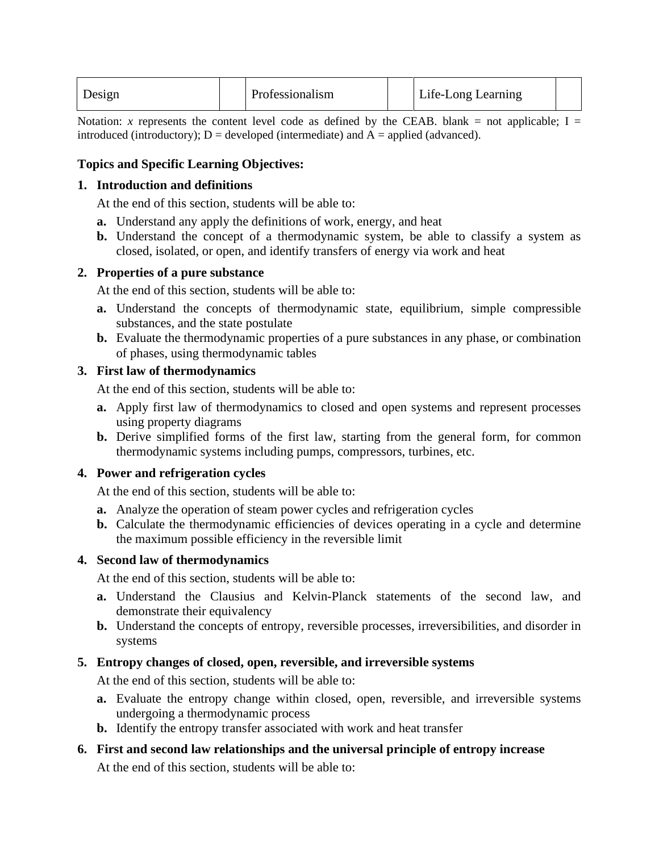| Design |  | Professionalism |  | Life-Long Learning |  |
|--------|--|-----------------|--|--------------------|--|
|--------|--|-----------------|--|--------------------|--|

Notation: *x* represents the content level code as defined by the CEAB. blank = not applicable;  $I =$ introduced (introductory);  $D =$  developed (intermediate) and  $A =$  applied (advanced).

## **Topics and Specific Learning Objectives:**

#### **1. Introduction and definitions**

At the end of this section, students will be able to:

- **a.** Understand any apply the definitions of work, energy, and heat
- **b.** Understand the concept of a thermodynamic system, be able to classify a system as closed, isolated, or open, and identify transfers of energy via work and heat

## **2. Properties of a pure substance**

At the end of this section, students will be able to:

- **a.** Understand the concepts of thermodynamic state, equilibrium, simple compressible substances, and the state postulate
- **b.** Evaluate the thermodynamic properties of a pure substances in any phase, or combination of phases, using thermodynamic tables

## **3. First law of thermodynamics**

At the end of this section, students will be able to:

- **a.** Apply first law of thermodynamics to closed and open systems and represent processes using property diagrams
- **b.** Derive simplified forms of the first law, starting from the general form, for common thermodynamic systems including pumps, compressors, turbines, etc.

# **4. Power and refrigeration cycles**

At the end of this section, students will be able to:

- **a.** Analyze the operation of steam power cycles and refrigeration cycles
- **b.** Calculate the thermodynamic efficiencies of devices operating in a cycle and determine the maximum possible efficiency in the reversible limit

### **4. Second law of thermodynamics**

At the end of this section, students will be able to:

- **a.** Understand the Clausius and Kelvin-Planck statements of the second law, and demonstrate their equivalency
- **b.** Understand the concepts of entropy, reversible processes, irreversibilities, and disorder in systems

# **5. Entropy changes of closed, open, reversible, and irreversible systems**

At the end of this section, students will be able to:

- **a.** Evaluate the entropy change within closed, open, reversible, and irreversible systems undergoing a thermodynamic process
- **b.** Identify the entropy transfer associated with work and heat transfer
- **6. First and second law relationships and the universal principle of entropy increase** At the end of this section, students will be able to: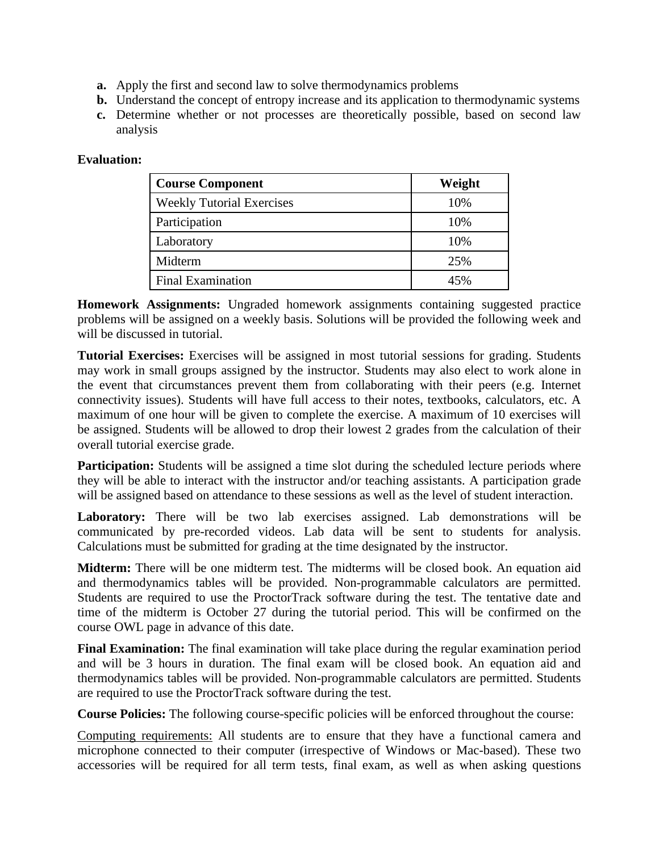- **a.** Apply the first and second law to solve thermodynamics problems
- **b.** Understand the concept of entropy increase and its application to thermodynamic systems
- **c.** Determine whether or not processes are theoretically possible, based on second law analysis

# **Evaluation:**

| <b>Course Component</b>          | Weight |
|----------------------------------|--------|
| <b>Weekly Tutorial Exercises</b> | 10%    |
| Participation                    | 10%    |
| Laboratory                       | 10%    |
| Midterm                          | 25%    |
| <b>Final Examination</b>         | 45%    |

**Homework Assignments:** Ungraded homework assignments containing suggested practice problems will be assigned on a weekly basis. Solutions will be provided the following week and will be discussed in tutorial.

**Tutorial Exercises:** Exercises will be assigned in most tutorial sessions for grading. Students may work in small groups assigned by the instructor. Students may also elect to work alone in the event that circumstances prevent them from collaborating with their peers (e.g. Internet connectivity issues). Students will have full access to their notes, textbooks, calculators, etc. A maximum of one hour will be given to complete the exercise. A maximum of 10 exercises will be assigned. Students will be allowed to drop their lowest 2 grades from the calculation of their overall tutorial exercise grade.

**Participation:** Students will be assigned a time slot during the scheduled lecture periods where they will be able to interact with the instructor and/or teaching assistants. A participation grade will be assigned based on attendance to these sessions as well as the level of student interaction.

**Laboratory:** There will be two lab exercises assigned. Lab demonstrations will be communicated by pre-recorded videos. Lab data will be sent to students for analysis. Calculations must be submitted for grading at the time designated by the instructor.

**Midterm:** There will be one midterm test. The midterms will be closed book. An equation aid and thermodynamics tables will be provided. Non-programmable calculators are permitted. Students are required to use the ProctorTrack software during the test. The tentative date and time of the midterm is October 27 during the tutorial period. This will be confirmed on the course OWL page in advance of this date.

**Final Examination:** The final examination will take place during the regular examination period and will be 3 hours in duration. The final exam will be closed book. An equation aid and thermodynamics tables will be provided. Non-programmable calculators are permitted. Students are required to use the ProctorTrack software during the test.

**Course Policies:** The following course-specific policies will be enforced throughout the course:

Computing requirements: All students are to ensure that they have a functional camera and microphone connected to their computer (irrespective of Windows or Mac-based). These two accessories will be required for all term tests, final exam, as well as when asking questions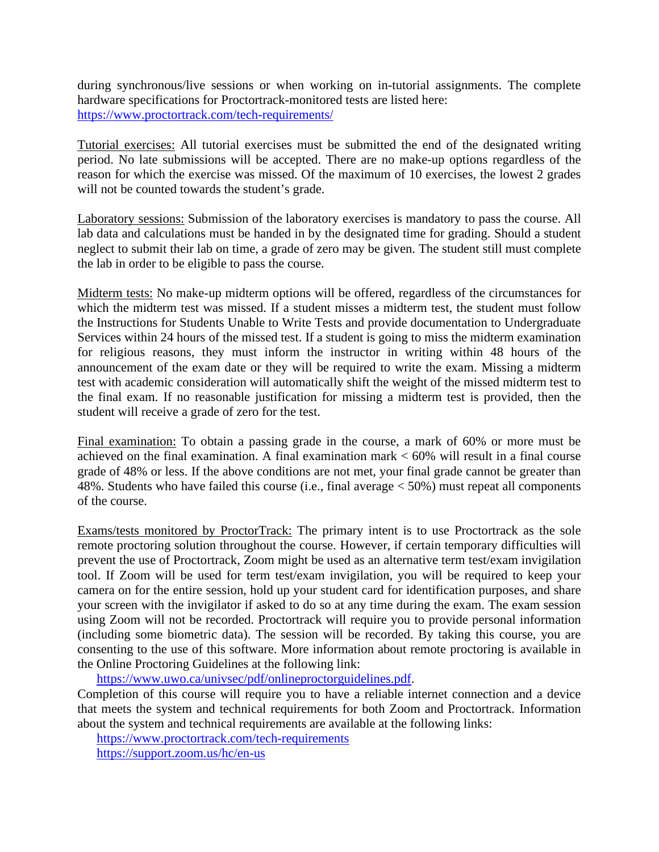during synchronous/live sessions or when working on in-tutorial assignments. The complete hardware specifications for Proctortrack-monitored tests are listed here: <https://www.proctortrack.com/tech-requirements/>

Tutorial exercises: All tutorial exercises must be submitted the end of the designated writing period. No late submissions will be accepted. There are no make-up options regardless of the reason for which the exercise was missed. Of the maximum of 10 exercises, the lowest 2 grades will not be counted towards the student's grade.

Laboratory sessions: Submission of the laboratory exercises is mandatory to pass the course. All lab data and calculations must be handed in by the designated time for grading. Should a student neglect to submit their lab on time, a grade of zero may be given. The student still must complete the lab in order to be eligible to pass the course.

Midterm tests: No make-up midterm options will be offered, regardless of the circumstances for which the midterm test was missed. If a student misses a midterm test, the student must follow the Instructions for Students Unable to Write Tests and provide documentation to Undergraduate Services within 24 hours of the missed test. If a student is going to miss the midterm examination for religious reasons, they must inform the instructor in writing within 48 hours of the announcement of the exam date or they will be required to write the exam. Missing a midterm test with academic consideration will automatically shift the weight of the missed midterm test to the final exam. If no reasonable justification for missing a midterm test is provided, then the student will receive a grade of zero for the test.

Final examination: To obtain a passing grade in the course, a mark of 60% or more must be achieved on the final examination. A final examination mark  $< 60\%$  will result in a final course grade of 48% or less. If the above conditions are not met, your final grade cannot be greater than 48%. Students who have failed this course (i.e., final average < 50%) must repeat all components of the course.

Exams/tests monitored by ProctorTrack: The primary intent is to use Proctortrack as the sole remote proctoring solution throughout the course. However, if certain temporary difficulties will prevent the use of Proctortrack, Zoom might be used as an alternative term test/exam invigilation tool. If Zoom will be used for term test/exam invigilation, you will be required to keep your camera on for the entire session, hold up your student card for identification purposes, and share your screen with the invigilator if asked to do so at any time during the exam. The exam session using Zoom will not be recorded. Proctortrack will require you to provide personal information (including some biometric data). The session will be recorded. By taking this course, you are consenting to the use of this software. More information about remote proctoring is available in the Online Proctoring Guidelines at the following link:

[https://www.uwo.ca/univsec/pdf/onlineproctorguidelines.pdf.](https://www.uwo.ca/univsec/pdf/onlineproctorguidelines.pdf)

Completion of this course will require you to have a reliable internet connection and a device that meets the system and technical requirements for both Zoom and Proctortrack. Information about the system and technical requirements are available at the following links:

<https://www.proctortrack.com/tech-requirements>

<https://support.zoom.us/hc/en-us>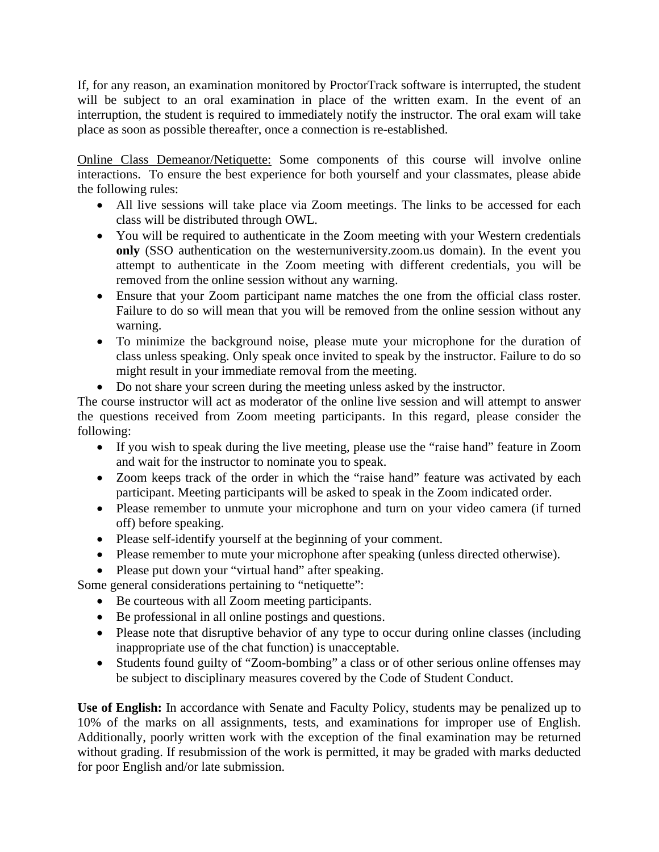If, for any reason, an examination monitored by ProctorTrack software is interrupted, the student will be subject to an oral examination in place of the written exam. In the event of an interruption, the student is required to immediately notify the instructor. The oral exam will take place as soon as possible thereafter, once a connection is re-established.

Online Class Demeanor/Netiquette: Some components of this course will involve online interactions. To ensure the best experience for both yourself and your classmates, please abide the following rules:

- All live sessions will take place via Zoom meetings. The links to be accessed for each class will be distributed through OWL.
- You will be required to authenticate in the Zoom meeting with your Western credentials **only** (SSO authentication on the westernuniversity.zoom.us domain). In the event you attempt to authenticate in the Zoom meeting with different credentials, you will be removed from the online session without any warning.
- Ensure that your Zoom participant name matches the one from the official class roster. Failure to do so will mean that you will be removed from the online session without any warning.
- To minimize the background noise, please mute your microphone for the duration of class unless speaking. Only speak once invited to speak by the instructor. Failure to do so might result in your immediate removal from the meeting.
- Do not share your screen during the meeting unless asked by the instructor.

The course instructor will act as moderator of the online live session and will attempt to answer the questions received from Zoom meeting participants. In this regard, please consider the following:

- If you wish to speak during the live meeting, please use the "raise hand" feature in Zoom and wait for the instructor to nominate you to speak.
- Zoom keeps track of the order in which the "raise hand" feature was activated by each participant. Meeting participants will be asked to speak in the Zoom indicated order.
- Please remember to unmute your microphone and turn on your video camera (if turned off) before speaking.
- Please self-identify yourself at the beginning of your comment.
- Please remember to mute your microphone after speaking (unless directed otherwise).
- Please put down your "virtual hand" after speaking.

Some general considerations pertaining to "netiquette":

- Be courteous with all Zoom meeting participants.
- Be professional in all online postings and questions.
- Please note that disruptive behavior of any type to occur during online classes (including inappropriate use of the chat function) is unacceptable.
- Students found guilty of "Zoom-bombing" a class or of other serious online offenses may be subject to disciplinary measures covered by the Code of Student Conduct.

**Use of English:** In accordance with Senate and Faculty Policy, students may be penalized up to 10% of the marks on all assignments, tests, and examinations for improper use of English. Additionally, poorly written work with the exception of the final examination may be returned without grading. If resubmission of the work is permitted, it may be graded with marks deducted for poor English and/or late submission.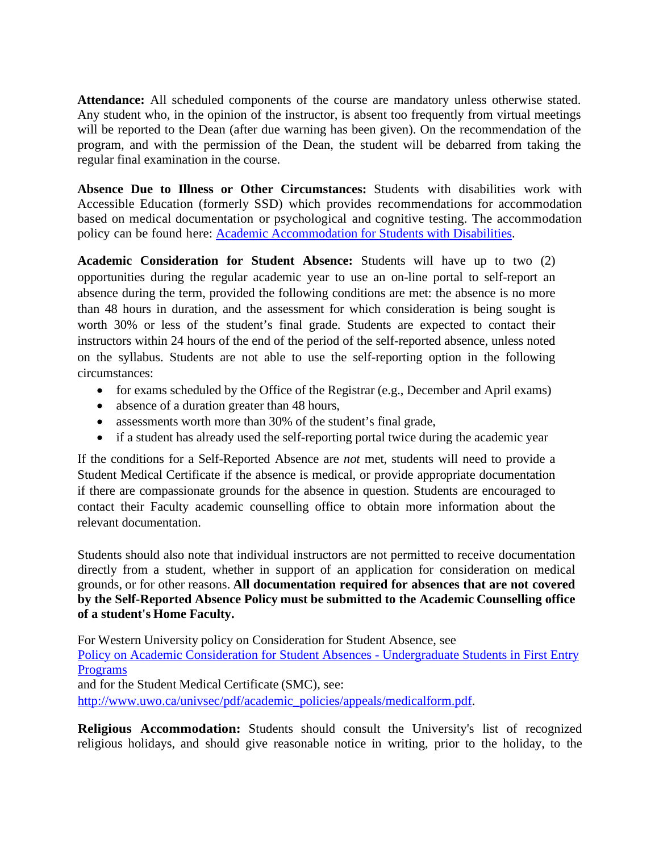**Attendance:** All scheduled components of the course are mandatory unless otherwise stated. Any student who, in the opinion of the instructor, is absent too frequently from virtual meetings will be reported to the Dean (after due warning has been given). On the recommendation of the program, and with the permission of the Dean, the student will be debarred from taking the regular final examination in the course.

**Absence Due to Illness or Other Circumstances:** Students with disabilities work with Accessible Education (formerly SSD) which provides recommendations for accommodation based on medical documentation or psychological and cognitive testing. The accommodation policy can be found here: [Academic Accommodation for Students with Disabilities.](https://www.uwo.ca/univsec/pdf/academic_policies/appeals/Academic%20Accommodation_disabilities.pdf)

**Academic Consideration for Student Absence:** Students will have up to two (2) opportunities during the regular academic year to use an on-line portal to self-report an absence during the term, provided the following conditions are met: the absence is no more than 48 hours in duration, and the assessment for which consideration is being sought is worth 30% or less of the student's final grade. Students are expected to contact their instructors within 24 hours of the end of the period of the self-reported absence, unless noted on the syllabus. Students are not able to use the self-reporting option in the following circumstances:

- for exams scheduled by the Office of the Registrar (e.g., December and April exams)
- absence of a duration greater than 48 hours,
- assessments worth more than 30% of the student's final grade,
- if a student has already used the self-reporting portal twice during the academic year

If the conditions for a Self-Reported Absence are *not* met, students will need to provide a Student Medical Certificate if the absence is medical, or provide appropriate documentation if there are compassionate grounds for the absence in question. Students are encouraged to contact their Faculty academic counselling office to obtain more information about the relevant documentation.

Students should also note that individual instructors are not permitted to receive documentation directly from a student, whether in support of an application for consideration on medical grounds, or for other reasons. **All documentation required for absences that are not covered by the Self-Reported Absence Policy must be submitted to the Academic Counselling office of a student's Home Faculty.**

For Western University policy on Consideration for Student Absence, see

[Policy on Academic Consideration for Student Absences -](https://www.uwo.ca/univsec/pdf/academic_policies/appeals/Academic_Consideration_for_absences.pdf) Undergraduate Students in First Entry [Programs](https://www.uwo.ca/univsec/pdf/academic_policies/appeals/Academic_Consideration_for_absences.pdf)

and for the Student Medical Certificate (SMC), see:

[http://www.uwo.ca/univsec/pdf/academic\\_policies/appeals/medicalform.pdf.](http://www.uwo.ca/univsec/pdf/academic_policies/appeals/medicalform.pdf)

**Religious Accommodation:** Students should consult the University's list of recognized religious holidays, and should give reasonable notice in writing, prior to the holiday, to the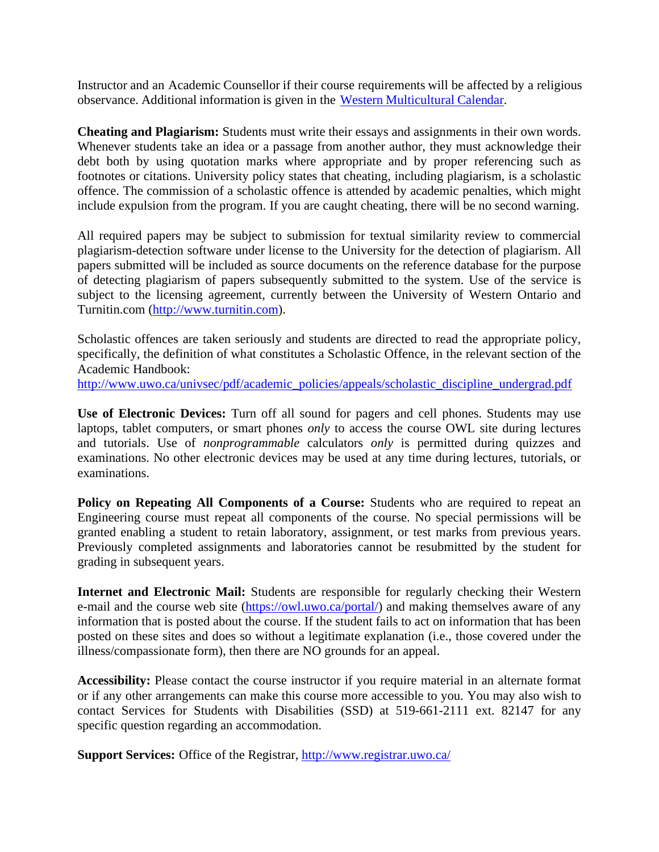Instructor and an Academic Counsellor if their course requirements will be affected by a religious observance. Additional information is given in the Western [Multicultural](https://multiculturalcalendar.com/ecal/index.php?s=c-univwo) Calendar.

**Cheating and Plagiarism:** Students must write their essays and assignments in their own words. Whenever students take an idea or a passage from another author, they must acknowledge their debt both by using quotation marks where appropriate and by proper referencing such as footnotes or citations. University policy states that cheating, including plagiarism, is a scholastic offence. The commission of a scholastic offence is attended by academic penalties, which might include expulsion from the program. If you are caught cheating, there will be no second warning.

All required papers may be subject to submission for textual similarity review to commercial plagiarism-detection software under license to the University for the detection of plagiarism. All papers submitted will be included as source documents on the reference database for the purpose of detecting plagiarism of papers subsequently submitted to the system. Use of the service is subject to the licensing agreement, currently between the University of Western Ontario and Turnitin.com [\(http://www.turnitin.com\)](http://www.turnitin.com/).

Scholastic offences are taken seriously and students are directed to read the appropriate policy, specifically, the definition of what constitutes a Scholastic Offence, in the relevant section of the Academic Handbook:

[http://www.uwo.ca/univsec/pdf/academic\\_policies/appeals/scholastic\\_discipline\\_undergrad.pdf](http://www.uwo.ca/univsec/pdf/academic_policies/appeals/scholastic_discipline_undergrad.pdf)

**Use of Electronic Devices:** Turn off all sound for pagers and cell phones. Students may use laptops, tablet computers, or smart phones *only* to access the course OWL site during lectures and tutorials. Use of *nonprogrammable* calculators *only* is permitted during quizzes and examinations. No other electronic devices may be used at any time during lectures, tutorials, or examinations.

**Policy on Repeating All Components of a Course:** Students who are required to repeat an Engineering course must repeat all components of the course. No special permissions will be granted enabling a student to retain laboratory, assignment, or test marks from previous years. Previously completed assignments and laboratories cannot be resubmitted by the student for grading in subsequent years.

**Internet and Electronic Mail:** Students are responsible for regularly checking their Western e-mail and the course web site [\(https://owl.uwo.ca/portal/\)](https://owl.uwo.ca/portal/) and making themselves aware of any information that is posted about the course. If the student fails to act on information that has been posted on these sites and does so without a legitimate explanation (i.e., those covered under the illness/compassionate form), then there are NO grounds for an appeal.

**Accessibility:** Please contact the course instructor if you require material in an alternate format or if any other arrangements can make this course more accessible to you. You may also wish to contact Services for Students with Disabilities (SSD) at 519-661-2111 ext. 82147 for any specific question regarding an accommodation.

**Support Services:** Office of the Registrar,<http://www.registrar.uwo.ca/>